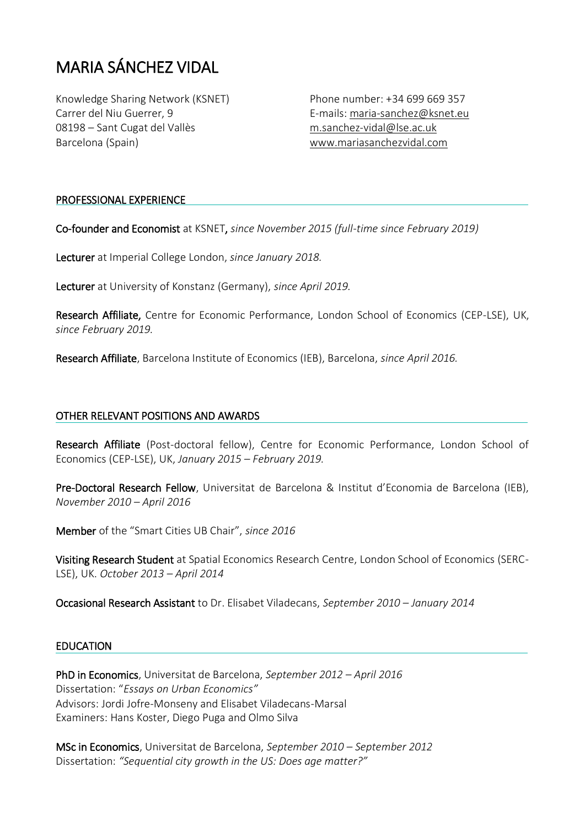# MARIA SÁNCHEZ VIDAL

Knowledge Sharing Network (KSNET) Carrer del Niu Guerrer, 9 08198 – Sant Cugat del Vallès Barcelona (Spain)

Phone number: +34 699 669 357 E-mails: [maria-sanchez@ksnet.eu](mailto:maria-sanchez@ksnet.eu) [m.sanchez-vidal@lse.ac.uk](mailto:m.sanchez-vidal@lse.ac.uk) [www.mariasanchezvidal.com](http://www.mariasanchezvidal.com/)

### PROFESSIONAL EXPERIENCE

Co-founder and Economist at KSNET, *since November 2015 (full-time since February 2019)*

Lecturer at Imperial College London, *since January 2018.*

Lecturer at University of Konstanz (Germany), *since April 2019.*

Research Affiliate, Centre for Economic Performance, London School of Economics (CEP-LSE), UK, *since February 2019.*

Research Affiliate, Barcelona Institute of Economics (IEB), Barcelona, *since April 2016.*

### OTHER RELEVANT POSITIONS AND AWARDS

Research Affiliate (Post-doctoral fellow), Centre for Economic Performance, London School of Economics (CEP-LSE), UK, *January 2015 – February 2019.*

Pre-Doctoral Research Fellow, Universitat de Barcelona & Institut d'Economia de Barcelona (IEB), *November 2010 – April 2016*

Member of the "Smart Cities UB Chair", *since 2016*

Visiting Research Student at Spatial Economics Research Centre, London School of Economics (SERC-LSE), UK. *October 2013 – April 2014*

Occasional Research Assistant to Dr. Elisabet Viladecans, *September 2010 – January 2014*

#### **EDUCATION**

PhD in Economics, Universitat de Barcelona, *September 2012 – April 2016* Dissertation: "*Essays on Urban Economics"* Advisors: Jordi Jofre-Monseny and Elisabet Viladecans-Marsal Examiners: Hans Koster, Diego Puga and Olmo Silva

MSc in Economics, Universitat de Barcelona, *September 2010 – September 2012* Dissertation: *"Sequential city growth in the US: Does age matter?"*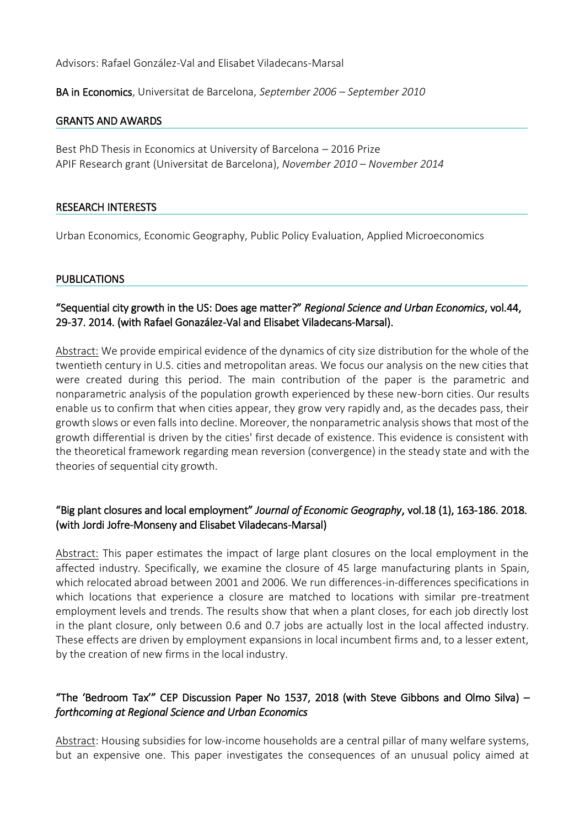Advisors: Rafael González-Val and Elisabet Viladecans-Marsal

BA in Economics, Universitat de Barcelona, *September 2006 – September 2010*

#### GRANTS AND AWARDS

Best PhD Thesis in Economics at University of Barcelona – 2016 Prize APIF Research grant (Universitat de Barcelona), *November 2010 – November 2014*

#### RESEARCH INTERESTS

Urban Economics, Economic Geography, Public Policy Evaluation, Applied Microeconomics

#### **PUBLICATIONS**

# "Sequential city growth in the US: Does age matter?" *Regional Science and Urban Economics*, vol.44, 29-37. 2014. (with Rafael Gonazález-Val and Elisabet Viladecans-Marsal).

Abstract: We provide empirical evidence of the dynamics of city size distribution for the whole of the twentieth century in U.S. cities and metropolitan areas. We focus our analysis on the new cities that were created during this period. The main contribution of the paper is the parametric and nonparametric analysis of the population growth experienced by these new-born cities. Our results enable us to confirm that when cities appear, they grow very rapidly and, as the decades pass, their growth slows or even falls into decline. Moreover, the nonparametric analysis shows that most of the growth differential is driven by the cities' first decade of existence. This evidence is consistent with the theoretical framework regarding mean reversion (convergence) in the steady state and with the theories of sequential city growth.

# "Big plant closures and local employment" *Journal of Economic Geography*, vol.18 (1), 163-186. 2018. (with Jordi Jofre-Monseny and Elisabet Viladecans-Marsal)

Abstract: This paper estimates the impact of large plant closures on the local employment in the affected industry. Specifically, we examine the closure of 45 large manufacturing plants in Spain, which relocated abroad between 2001 and 2006. We run differences-in-differences specifications in which locations that experience a closure are matched to locations with similar pre-treatment employment levels and trends. The results show that when a plant closes, for each job directly lost in the plant closure, only between 0.6 and 0.7 jobs are actually lost in the local affected industry. These effects are driven by employment expansions in local incumbent firms and, to a lesser extent, by the creation of new firms in the local industry.

# "The 'Bedroom Tax'" CEP Discussion Paper No 1537, 2018 (with Steve Gibbons and Olmo Silva) – *forthcoming at Regional Science and Urban Economics*

Abstract: Housing subsidies for low-income households are a central pillar of many welfare systems, but an expensive one. This paper investigates the consequences of an unusual policy aimed at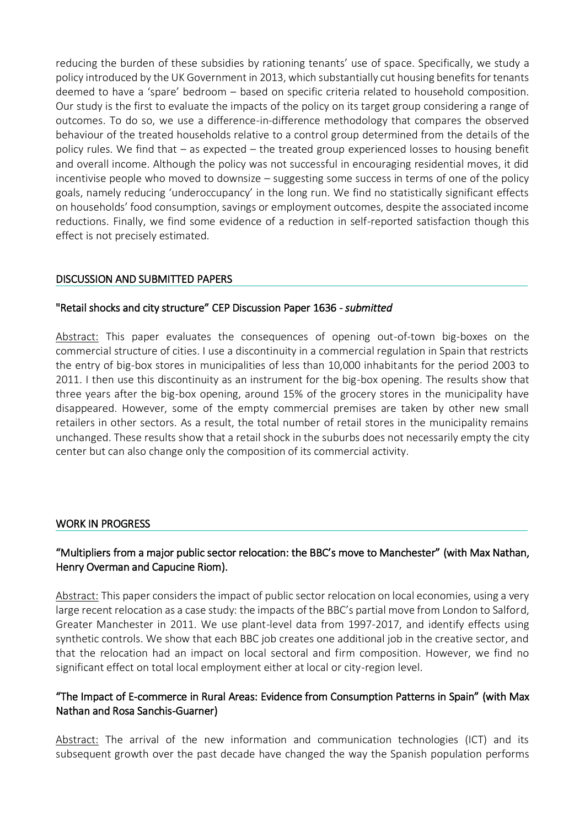reducing the burden of these subsidies by rationing tenants' use of space. Specifically, we study a policy introduced by the UK Government in 2013, which substantially cut housing benefits for tenants deemed to have a 'spare' bedroom – based on specific criteria related to household composition. Our study is the first to evaluate the impacts of the policy on its target group considering a range of outcomes. To do so, we use a difference-in-difference methodology that compares the observed behaviour of the treated households relative to a control group determined from the details of the policy rules. We find that – as expected – the treated group experienced losses to housing benefit and overall income. Although the policy was not successful in encouraging residential moves, it did incentivise people who moved to downsize – suggesting some success in terms of one of the policy goals, namely reducing 'underoccupancy' in the long run. We find no statistically significant effects on households' food consumption, savings or employment outcomes, despite the associated income reductions. Finally, we find some evidence of a reduction in self-reported satisfaction though this effect is not precisely estimated.

# DISCUSSION AND SUBMITTED PAPERS

# "Retail shocks and city structure" CEP Discussion Paper 1636 - *submitted*

Abstract: This paper evaluates the consequences of opening out-of-town big-boxes on the commercial structure of cities. I use a discontinuity in a commercial regulation in Spain that restricts the entry of big-box stores in municipalities of less than 10,000 inhabitants for the period 2003 to 2011. I then use this discontinuity as an instrument for the big-box opening. The results show that three years after the big-box opening, around 15% of the grocery stores in the municipality have disappeared. However, some of the empty commercial premises are taken by other new small retailers in other sectors. As a result, the total number of retail stores in the municipality remains unchanged. These results show that a retail shock in the suburbs does not necessarily empty the city center but can also change only the composition of its commercial activity.

# WORK IN PROGRESS

# "Multipliers from a major public sector relocation: the BBC's move to Manchester" (with Max Nathan, Henry Overman and Capucine Riom).

Abstract: This paper considers the impact of public sector relocation on local economies, using a very large recent relocation as a case study: the impacts of the BBC's partial move from London to Salford, Greater Manchester in 2011. We use plant-level data from 1997-2017, and identify effects using synthetic controls. We show that each BBC job creates one additional job in the creative sector, and that the relocation had an impact on local sectoral and firm composition. However, we find no significant effect on total local employment either at local or city-region level.

# "The Impact of E-commerce in Rural Areas: Evidence from Consumption Patterns in Spain" (with Max Nathan and Rosa Sanchis-Guarner)

Abstract: The arrival of the new information and communication technologies (ICT) and its subsequent growth over the past decade have changed the way the Spanish population performs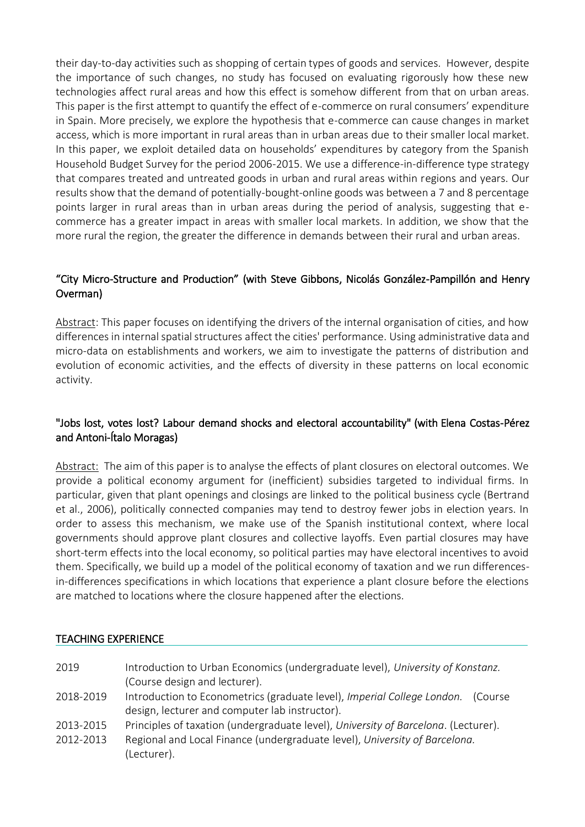their day-to-day activities such as shopping of certain types of goods and services. However, despite the importance of such changes, no study has focused on evaluating rigorously how these new technologies affect rural areas and how this effect is somehow different from that on urban areas. This paper is the first attempt to quantify the effect of e-commerce on rural consumers' expenditure in Spain. More precisely, we explore the hypothesis that e-commerce can cause changes in market access, which is more important in rural areas than in urban areas due to their smaller local market. In this paper, we exploit detailed data on households' expenditures by category from the Spanish Household Budget Survey for the period 2006-2015. We use a difference-in-difference type strategy that compares treated and untreated goods in urban and rural areas within regions and years. Our results show that the demand of potentially-bought-online goods was between a 7 and 8 percentage points larger in rural areas than in urban areas during the period of analysis, suggesting that ecommerce has a greater impact in areas with smaller local markets. In addition, we show that the more rural the region, the greater the difference in demands between their rural and urban areas.

# "[City Micro-Structure and Production](https://sp.ukdataservice.ac.uk/newRegistration/UKDSshowProjectDataset.asp?pn=103201)" (with Steve Gibbons, Nicolás González-Pampillón and Henry Overman)

Abstract: This paper focuses on identifying the drivers of the internal organisation of cities, and how differences in internal spatial structures affect the cities' performance. Using administrative data and micro-data on establishments and workers, we aim to investigate the patterns of distribution and evolution of economic activities, and the effects of diversity in these patterns on local economic activity.

# "Jobs lost, votes lost? Labour demand shocks and electoral accountability" (with Elena Costas-Pérez and Antoni-Ítalo Moragas)

Abstract: The aim of this paper is to analyse the effects of plant closures on electoral outcomes. We provide a political economy argument for (inefficient) subsidies targeted to individual firms. In particular, given that plant openings and closings are linked to the political business cycle (Bertrand et al., 2006), politically connected companies may tend to destroy fewer jobs in election years. In order to assess this mechanism, we make use of the Spanish institutional context, where local governments should approve plant closures and collective layoffs. Even partial closures may have short-term effects into the local economy, so political parties may have electoral incentives to avoid them. Specifically, we build up a model of the political economy of taxation and we run differencesin-differences specifications in which locations that experience a plant closure before the elections are matched to locations where the closure happened after the elections.

# TEACHING EXPERIENCE

- 2019 Introduction to Urban Economics (undergraduate level), *University of Konstanz.* (Course design and lecturer).
- 2018-2019 Introduction to Econometrics (graduate level), *Imperial College London.* (Course design, lecturer and computer lab instructor).
- 2013-2015 Principles of taxation (undergraduate level), *University of Barcelona*. (Lecturer).
- 2012-2013 Regional and Local Finance (undergraduate level), *University of Barcelona.* (Lecturer).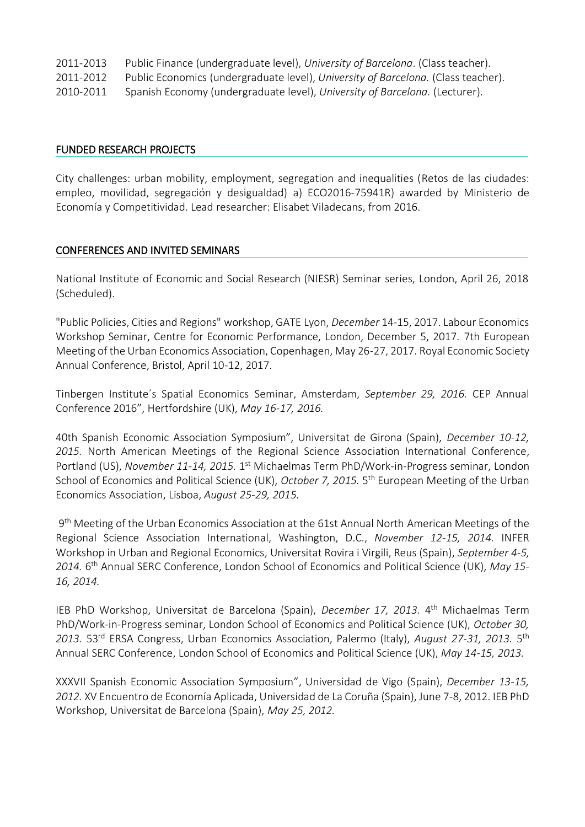| 2011-2013 | Public Finance (undergraduate level), University of Barcelona. (Class teacher).   |
|-----------|-----------------------------------------------------------------------------------|
| 2011-2012 | Public Economics (undergraduate level), University of Barcelona. (Class teacher). |
| 2010-2011 | Spanish Economy (undergraduate level), University of Barcelona. (Lecturer).       |

#### FUNDED RESEARCH PROJECTS

City challenges: urban mobility, employment, segregation and inequalities (Retos de las ciudades: empleo, movilidad, segregación y desigualdad) a) ECO2016-75941R) awarded by Ministerio de Economía y Competitividad. Lead researcher: Elisabet Viladecans, from 2016.

## CONFERENCES AND INVITED SEMINARS

National Institute of Economic and Social Research (NIESR) Seminar series, London, April 26, 2018 (Scheduled).

"Public Policies, Cities and Regions" workshop, GATE Lyon, *December* 14-15, 2017. Labour Economics Workshop Seminar, Centre for Economic Performance, London, December 5, 2017. 7th European Meeting of the Urban Economics Association, Copenhagen, May 26-27, 2017. Royal Economic Society Annual Conference, Bristol, April 10-12, 2017.

Tinbergen Institute´s Spatial Economics Seminar, Amsterdam, *September 29, 2016.* CEP Annual Conference 2016", Hertfordshire (UK), *May 16-17, 2016.*

40th Spanish Economic Association Symposium", Universitat de Girona (Spain), *December 10-12, 2015.* North American Meetings of the Regional Science Association International Conference, Portland (US), November 11-14, 2015. 1<sup>st</sup> Michaelmas Term PhD/Work-in-Progress seminar, London School of Economics and Political Science (UK), October 7, 2015. 5<sup>th</sup> European Meeting of the Urban Economics Association, Lisboa, *August 25-29, 2015.* 

9<sup>th</sup> Meeting of the Urban Economics Association at the 61st Annual North American Meetings of the Regional Science Association International, Washington, D.C., *November 12-15, 2014.* INFER Workshop in Urban and Regional Economics, Universitat Rovira i Virgili, Reus (Spain), *September 4-5, 2014.* 6 th Annual SERC Conference, London School of Economics and Political Science (UK), *May 15- 16, 2014.* 

IEB PhD Workshop, Universitat de Barcelona (Spain), *December 17, 2013.* 4<sup>th</sup> Michaelmas Term PhD/Work-in-Progress seminar, London School of Economics and Political Science (UK), *October 30,*  2013. 53<sup>rd</sup> ERSA Congress, Urban Economics Association, Palermo (Italy), August 27-31, 2013. 5<sup>th</sup> Annual SERC Conference, London School of Economics and Political Science (UK), *May 14-15, 2013.*

XXXVII Spanish Economic Association Symposium", Universidad de Vigo (Spain), *December 13-15, 2012.* XV Encuentro de Economía Aplicada, Universidad de La Coruña (Spain), June 7-8, 2012. IEB PhD Workshop, Universitat de Barcelona (Spain), *May 25, 2012.*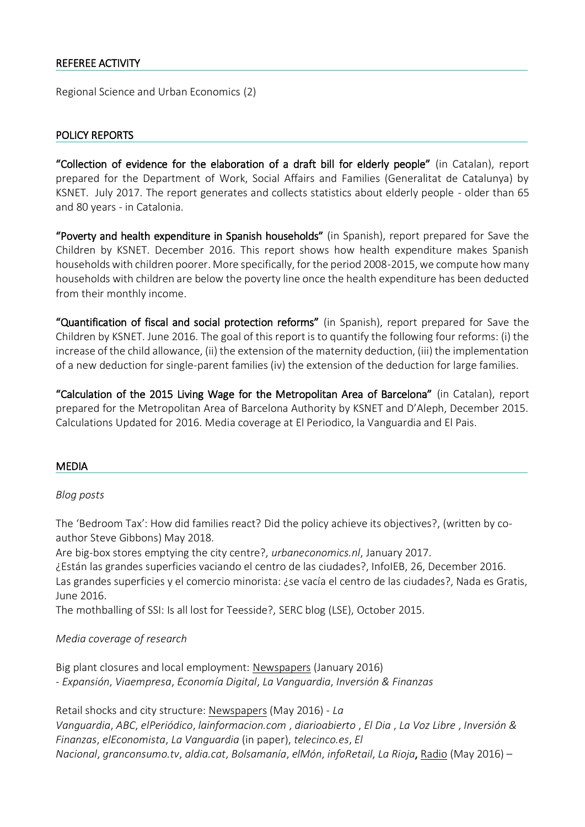## REFEREE ACTIVITY

Regional Science and Urban Economics (2)

#### POLICY REPORTS

"Collection of evidence for the elaboration of a draft bill for elderly people" (in Catalan), report prepared for the Department of Work, Social Affairs and Families (Generalitat de Catalunya) by KSNET. July 2017. The report generates and collects statistics about elderly people - older than 65 and 80 years - in Catalonia.

"Poverty and health expenditure in Spanish households" (in Spanish), report prepared for Save the Children by KSNET. December 2016. This report shows how health expenditure makes Spanish households with children poorer. More specifically, for the period 2008-2015, we compute how many households with children are below the poverty line once the health expenditure has been deducted from their monthly income.

"Quantification of fiscal and social protection reforms" (in Spanish), report prepared for Save the Children by KSNET. June 2016. The goal of this report is to quantify the following four reforms: (i) the increase of the child allowance, (ii) the extension of the maternity deduction, (iii) the implementation of a new deduction for single-parent families (iv) the extension of the deduction for large families.

"Calculation of the 2015 Living Wage for the Metropolitan Area of Barcelona" (in Catalan), report prepared for the Metropolitan Area of Barcelona Authority by KSNET and D'Aleph, December 2015. Calculations Updated for 2016. Media coverage at El Periodico, la Vanguardia and El Pais.

#### MEDIA

#### *Blog posts*

[The 'Bedroom Tax': How did families react?](http://spatial-economics.blogspot.com/2018/05/the-bedroom-tax-how-did-families-react.html) Did the policy achieve its objectives?, (written by coauthor Steve Gibbons) May 2018.

Are big-box stores emptying the city centre?, *urbaneconomics.nl*, January 2017.

¿Están las grandes superficies vaciando el centro de las ciudades?, InfoIEB, 26, December 2016. Las grandes superficies y el comercio minorista: ¿se vacía el centro de las ciudades?, Nada es Gratis, June 2016.

The mothballing of SSI: Is all lost for Teesside?, SERC blog (LSE), October 2015.

#### *Media coverage of research*

Big plant closures and local employment: Newspapers (January 2016) - *Expansión*, *Viaempresa*, *Economía Digital*, *La Vanguardia*, *Inversión & Finanzas*

Retail shocks and city structure: Newspapers (May 2016) - *La Vanguardia*, *ABC*, *elPeriódico*, *lainformacion.com* , *diarioabierto* , *El Dia* , *La Voz Libre* , *Inversión & Finanzas*, *elEconomista*, *La Vanguardia* (in paper), *telecinco.es*, *El Nacional*, *granconsumo.tv*, *aldia.cat*, *Bolsamanía*, *elMón*, *infoRetail*, *La Rioja*, Radio (May 2016) –